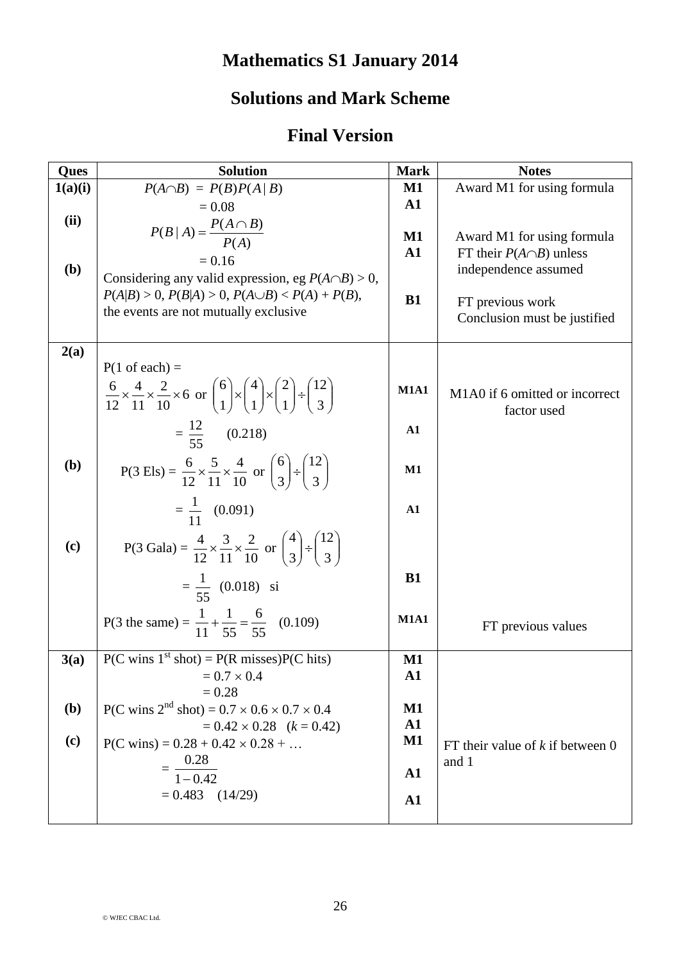## **Mathematics S1 January 2014**

## **Solutions and Mark Scheme**

## **Final Version**

| <b>Ques</b> | <b>Solution</b>                                                                                                                                                        | <b>Mark</b>                    | <b>Notes</b>                                                                        |
|-------------|------------------------------------------------------------------------------------------------------------------------------------------------------------------------|--------------------------------|-------------------------------------------------------------------------------------|
| 1(a)(i)     | $P(A \cap B) = P(B)P(A B)$                                                                                                                                             | $\mathbf{M1}$                  | Award M1 for using formula                                                          |
|             | $= 0.08$                                                                                                                                                               | ${\bf A1}$                     |                                                                                     |
| (ii)<br>(b) | $P(B A) = \frac{P(A \cap B)}{P(A)}$<br>$= 0.16$<br>Considering any valid expression, eg $P(A \cap B) > 0$ ,                                                            | $\mathbf{M1}$<br>${\bf A1}$    | Award M1 for using formula<br>FT their $P(A \cap B)$ unless<br>independence assumed |
|             | $P(A B) > 0$ , $P(B A) > 0$ , $P(A \cup B) < P(A) + P(B)$ ,<br>the events are not mutually exclusive                                                                   | <b>B1</b>                      | FT previous work<br>Conclusion must be justified                                    |
| 2(a)        |                                                                                                                                                                        |                                |                                                                                     |
|             | $P(1 \text{ of each}) =$<br>$rac{6}{12} \times \frac{4}{11} \times \frac{2}{10} \times 6$ or $\binom{6}{1} \times \binom{4}{1} \times \binom{2}{1} \div \binom{12}{3}$ | <b>M1A1</b>                    | M1A0 if 6 omitted or incorrect<br>factor used                                       |
|             | $=\frac{12}{55}$ (0.218)                                                                                                                                               | ${\bf A1}$                     |                                                                                     |
| (b)         | P(3 Els) = $\frac{6}{12} \times \frac{5}{11} \times \frac{4}{10}$ or $\binom{6}{3} \div \binom{12}{3}$                                                                 | M1                             |                                                                                     |
|             | $=\frac{1}{11}$ (0.091)                                                                                                                                                | ${\bf A1}$                     |                                                                                     |
| (c)         | P(3 Gala) = $\frac{4}{12} \times \frac{3}{11} \times \frac{2}{10}$ or $\binom{4}{3} \div \binom{12}{3}$                                                                |                                |                                                                                     |
|             | $=\frac{1}{55}$ (0.018) si                                                                                                                                             | <b>B1</b>                      |                                                                                     |
|             | P(3 the same) = $\frac{1}{11} + \frac{1}{55} = \frac{6}{55}$ (0.109)                                                                                                   | <b>M1A1</b>                    | FT previous values                                                                  |
| 3(a)        | $\overline{P(C \text{ wins } 1^{\text{st}} \text{ shot})} = P(R \text{ misses})P(C \text{ hits})$                                                                      | $\mathbf{M1}$                  |                                                                                     |
|             | $= 0.7 \times 0.4$                                                                                                                                                     | A1                             |                                                                                     |
| (b)         | $= 0.28$<br>P(C wins $2^{nd}$ shot) = 0.7 $\times$ 0.6 $\times$ 0.7 $\times$ 0.4<br>$= 0.42 \times 0.28$ $(k = 0.42)$                                                  | $\mathbf{M1}$<br>$\mathbf{A1}$ |                                                                                     |
| (c)         | $P(C wins) = 0.28 + 0.42 \times 0.28 + $                                                                                                                               | $\mathbf{M1}$                  | FT their value of $k$ if between 0                                                  |
|             | $=$ $\frac{0.28}{1}$                                                                                                                                                   | ${\bf A1}$                     | and 1                                                                               |
|             | $1 - 0.42$                                                                                                                                                             |                                |                                                                                     |
|             | $= 0.483$ $(14/29)$                                                                                                                                                    | $\mathbf{A1}$                  |                                                                                     |
|             |                                                                                                                                                                        |                                |                                                                                     |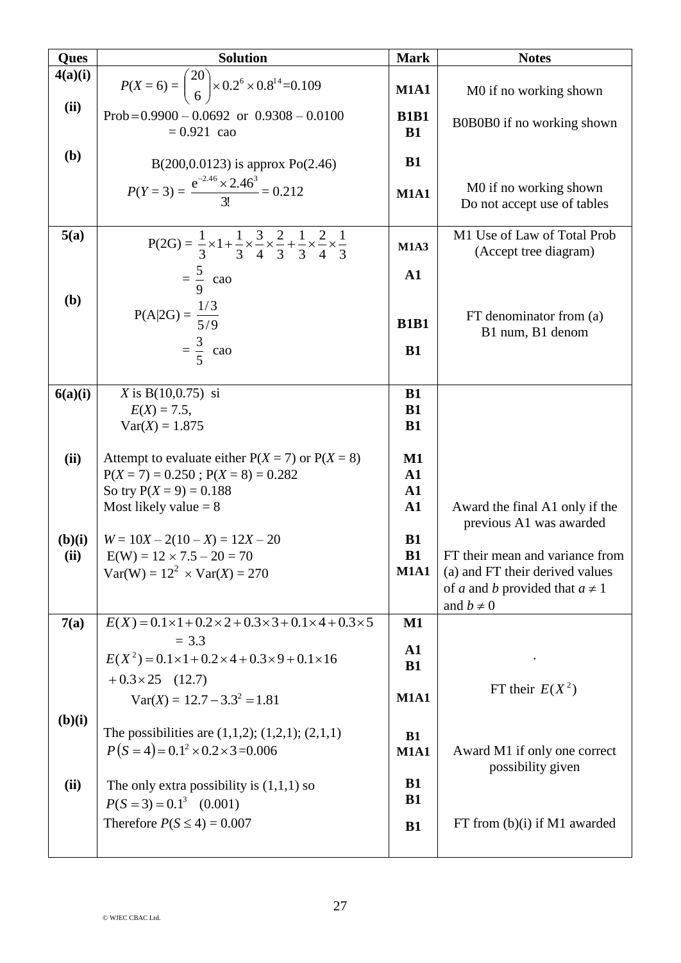| Ques           | <b>Solution</b>                                                                                                                                        | <b>Mark</b>                                                      | <b>Notes</b>                                                                                                                              |
|----------------|--------------------------------------------------------------------------------------------------------------------------------------------------------|------------------------------------------------------------------|-------------------------------------------------------------------------------------------------------------------------------------------|
| 4(a)(i)        | $P(X=6) = {20 \choose 6} \times 0.2^6 \times 0.8^{14} = 0.109$                                                                                         | <b>M1A1</b>                                                      | M0 if no working shown                                                                                                                    |
| (ii)           | Prob = $0.9900 - 0.0692$ or $0.9308 - 0.0100$<br>$= 0.921$ cao                                                                                         | <b>B1B1</b><br><b>B1</b>                                         | B0B0B0 if no working shown                                                                                                                |
| (b)            | $B(200, 0.0123)$ is approx Po(2.46)                                                                                                                    | <b>B1</b>                                                        |                                                                                                                                           |
|                | $P(Y=3) = \frac{e^{-2.46} \times 2.46^3}{3!} = 0.212$                                                                                                  | <b>M1A1</b>                                                      | M0 if no working shown<br>Do not accept use of tables                                                                                     |
| 5(a)           | $P(2G) = \frac{1}{3} \times 1 + \frac{1}{3} \times \frac{3}{4} \times \frac{2}{3} + \frac{1}{3} \times \frac{2}{4} \times \frac{1}{3}$                 | <b>M1A3</b>                                                      | M1 Use of Law of Total Prob<br>(Accept tree diagram)                                                                                      |
|                | $=\frac{5}{9}$ cao                                                                                                                                     | ${\bf A1}$                                                       |                                                                                                                                           |
| (b)            | P(A 2G) = $\frac{1/3}{5/9}$<br>= $\frac{3}{5}$ cao                                                                                                     | <b>B1B1</b>                                                      | FT denominator from (a)<br>B1 num, B1 denom                                                                                               |
|                |                                                                                                                                                        | <b>B1</b>                                                        |                                                                                                                                           |
| 6(a)(i)        | <i>X</i> is $B(10, 0.75)$ si<br>$E(X) = 7.5$ ,<br>$Var(X) = 1.875$                                                                                     | <b>B1</b><br><b>B1</b><br><b>B1</b>                              |                                                                                                                                           |
| (ii)           | Attempt to evaluate either $P(X = 7)$ or $P(X = 8)$<br>$P(X = 7) = 0.250$ ; $P(X = 8) = 0.282$<br>So try $P(X = 9) = 0.188$<br>Most likely value $= 8$ | $\mathbf{M1}$<br>$\mathbf{A1}$<br>$\mathbf{A1}$<br>$\mathbf{A1}$ | Award the final A1 only if the<br>previous A1 was awarded                                                                                 |
| (b)(i)<br>(ii) | $W = 10X - 2(10 - X) = 12X - 20$<br>$E(W) = 12 \times 7.5 - 20 = 70$<br>$Var(W) = 12^2 \times Var(X) = 270$                                            | <b>B1</b><br><b>B1</b><br><b>M1A1</b>                            | FT their mean and variance from<br>(a) and FT their derived values<br>of <i>a</i> and <i>b</i> provided that $a \neq 1$<br>and $b \neq 0$ |
| 7(a)           | $E(X) = 0.1 \times 1 + 0.2 \times 2 + 0.3 \times 3 + 0.1 \times 4 + 0.3 \times 5$                                                                      | $M1$                                                             |                                                                                                                                           |
|                | $= 3.3$<br>$E(X^2) = 0.1 \times 1 + 0.2 \times 4 + 0.3 \times 9 + 0.1 \times 16$<br>$+0.3 \times 25$ (12.7)<br>$Var(X) = 12.7 - 3.3^2 = 1.81$          | ${\bf A1}$<br><b>B1</b><br><b>M1A1</b>                           | FT their $E(X^2)$                                                                                                                         |
| (b)(i)         | The possibilities are $(1,1,2)$ ; $(1,2,1)$ ; $(2,1,1)$<br>$P(S = 4) = 0.1^2 \times 0.2 \times 3 = 0.006$                                              | B1<br><b>M1A1</b>                                                | Award M1 if only one correct<br>possibility given                                                                                         |
| (ii)           | The only extra possibility is $(1,1,1)$ so<br>$P(S = 3) = 0.1^3$ (0.001)                                                                               | <b>B1</b><br><b>B1</b>                                           |                                                                                                                                           |
|                | Therefore $P(S \le 4) = 0.007$                                                                                                                         | <b>B1</b>                                                        | FT from $(b)(i)$ if M1 awarded                                                                                                            |